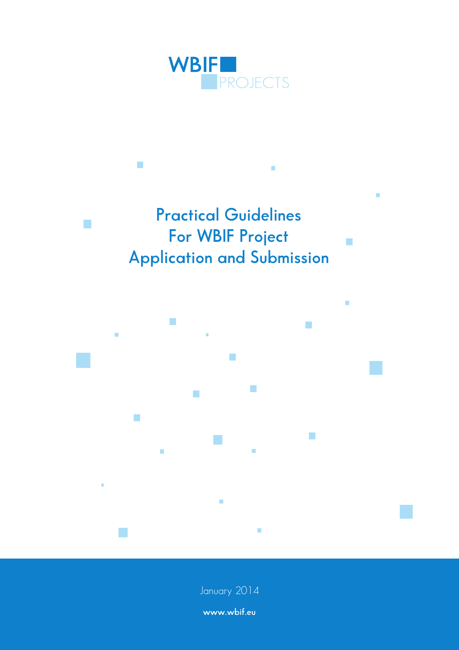

# **Practical Guidelines For WBIF Project Application and Submission**

Ì.

 $\overline{\phantom{a}}$ 

 $\overline{\phantom{a}}$ 

 $\overline{\phantom{a}}$ 

m.



January 2014

**www.wbif.eu**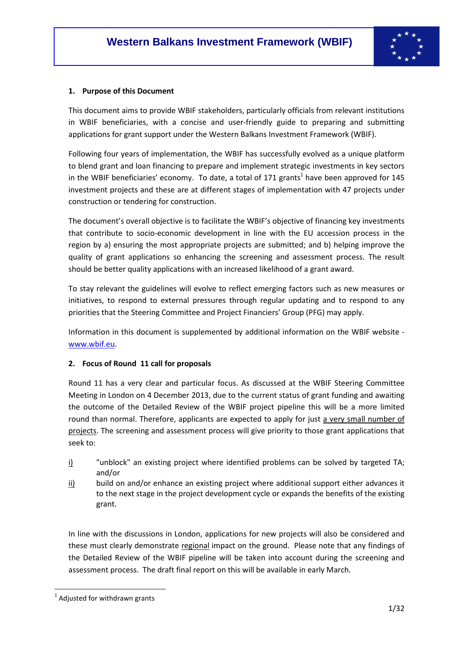

#### **1. Purpose of this Document**

This document aims to provide WBIF stakeholders, particularly officials from relevant institutions in WBIF beneficiaries, with a concise and user-friendly guide to preparing and submitting applications for grant support under the Western Balkans Investment Framework (WBIF).

Following four years of implementation, the WBIF has successfully evolved as a unique platform to blend grant and loan financing to prepare and implement strategic investments in key sectors in the WBIF beneficiaries' economy. To date, a total of 171 grants<sup>1</sup> have been approved for 145 investment projects and these are at different stages of implementation with 47 projects under construction or tendering for construction.

The document's overall objective is to facilitate the WBIF's objective of financing key investments that contribute to socio-economic development in line with the EU accession process in the region by a) ensuring the most appropriate projects are submitted; and b) helping improve the quality of grant applications so enhancing the screening and assessment process. The result should be better quality applications with an increased likelihood of a grant award.

To stay relevant the guidelines will evolve to reflect emerging factors such as new measures or initiatives, to respond to external pressures through regular updating and to respond to any priorities that the Steering Committee and Project Financiers' Group (PFG) may apply.

Information in this document is supplemented by additional information on the WBIF website www.wbif.eu.

### **2. Focus of Round 11 call for proposals**

Round 11 has a very clear and particular focus. As discussed at the WBIF Steering Committee Meeting in London on 4 December 2013, due to the current status of grant funding and awaiting the outcome of the Detailed Review of the WBIF project pipeline this will be a more limited round than normal. Therefore, applicants are expected to apply for just a very small number of projects. The screening and assessment process will give priority to those grant applications that seek to:

- i) "unblock" an existing project where identified problems can be solved by targeted TA; and/or
- $\frac{ii}{b}$  build on and/or enhance an existing project where additional support either advances it to the next stage in the project development cycle or expands the benefits of the existing grant.

In line with the discussions in London, applications for new projects will also be considered and these must clearly demonstrate regional impact on the ground. Please note that any findings of the Detailed Review of the WBIF pipeline will be taken into account during the screening and assessment process. The draft final report on this will be available in early March.

 $<sup>1</sup>$  Adjusted for withdrawn grants</sup>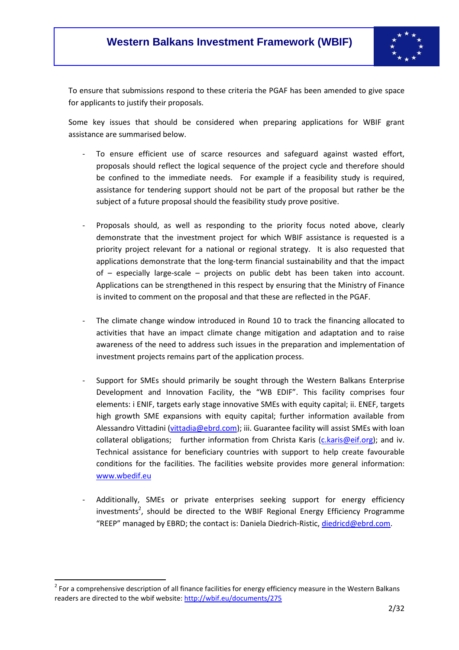

To ensure that submissions respond to these criteria the PGAF has been amended to give space for applicants to justify their proposals.

Some key issues that should be considered when preparing applications for WBIF grant assistance are summarised below.

- To ensure efficient use of scarce resources and safeguard against wasted effort, proposals should reflect the logical sequence of the project cycle and therefore should be confined to the immediate needs. For example if a feasibility study is required, assistance for tendering support should not be part of the proposal but rather be the subject of a future proposal should the feasibility study prove positive.
- Proposals should, as well as responding to the priority focus noted above, clearly demonstrate that the investment project for which WBIF assistance is requested is a priority project relevant for a national or regional strategy. It is also requested that applications demonstrate that the long-term financial sustainability and that the impact of – especially large-scale – projects on public debt has been taken into account. Applications can be strengthened in this respect by ensuring that the Ministry of Finance is invited to comment on the proposal and that these are reflected in the PGAF.
- The climate change window introduced in Round 10 to track the financing allocated to activities that have an impact climate change mitigation and adaptation and to raise awareness of the need to address such issues in the preparation and implementation of investment projects remains part of the application process.
- Support for SMEs should primarily be sought through the Western Balkans Enterprise Development and Innovation Facility, the "WB EDIF". This facility comprises four elements: i ENIF, targets early stage innovative SMEs with equity capital; ii. ENEF, targets high growth SME expansions with equity capital; further information available from Alessandro Vittadini (vittadia@ebrd.com); iii. Guarantee facility will assist SMEs with loan collateral obligations; further information from Christa Karis  $(c.karis@eif.org)$ ; and iv. Technical assistance for beneficiary countries with support to help create favourable conditions for the facilities. The facilities website provides more general information: www.wbedif.eu
- Additionally, SMEs or private enterprises seeking support for energy efficiency investments<sup>2</sup>, should be directed to the WBIF Regional Energy Efficiency Programme "REEP" managed by EBRD; the contact is: Daniela Diedrich-Ristic, diedricd@ebrd.com.

 $2$  For a comprehensive description of all finance facilities for energy efficiency measure in the Western Balkans readers are directed to the wbif website: http://wbif.eu/documents/275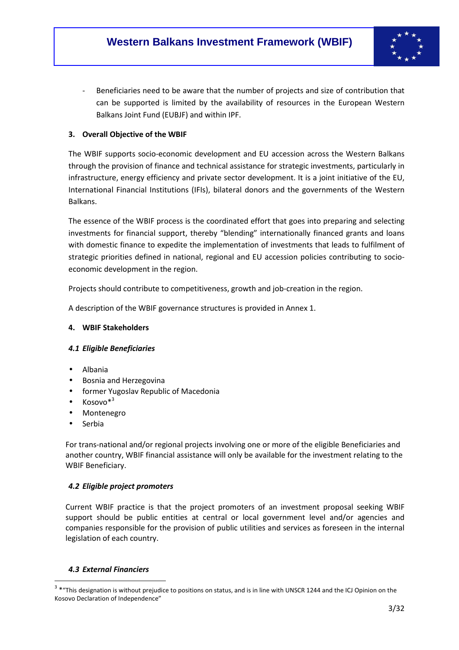

Beneficiaries need to be aware that the number of projects and size of contribution that can be supported is limited by the availability of resources in the European Western Balkans Joint Fund (EUBJF) and within IPF.

### **3. Overall Objective of the WBIF**

The WBIF supports socio-economic development and EU accession across the Western Balkans through the provision of finance and technical assistance for strategic investments, particularly in infrastructure, energy efficiency and private sector development. It is a joint initiative of the EU, International Financial Institutions (IFIs), bilateral donors and the governments of the Western Balkans.

The essence of the WBIF process is the coordinated effort that goes into preparing and selecting investments for financial support, thereby "blending" internationally financed grants and loans with domestic finance to expedite the implementation of investments that leads to fulfilment of strategic priorities defined in national, regional and EU accession policies contributing to socioeconomic development in the region.

Projects should contribute to competitiveness, growth and job-creation in the region.

A description of the WBIF governance structures is provided in Annex 1.

### **4. WBIF Stakeholders**

### *4.1 Eligible Beneficiaries*

- Albania
- Bosnia and Herzegovina
- former Yugoslav Republic of Macedonia
- $\bullet$  Kosovo $*^3$
- Montenegro
- **Serbia**

For trans-national and/or regional projects involving one or more of the eligible Beneficiaries and another country, WBIF financial assistance will only be available for the investment relating to the WBIF Beneficiary.

### *4.2 Eligible project promoters*

Current WBIF practice is that the project promoters of an investment proposal seeking WBIF support should be public entities at central or local government level and/or agencies and companies responsible for the provision of public utilities and services as foreseen in the internal legislation of each country.

### *4.3 External Financiers*

<sup>&</sup>lt;sup>3</sup> \*"This designation is without prejudice to positions on status, and is in line with UNSCR 1244 and the ICJ Opinion on the Kosovo Declaration of Independence"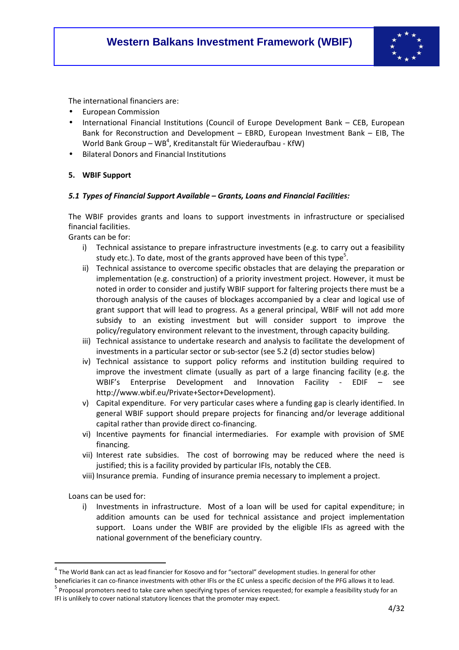

The international financiers are:

- European Commission
- International Financial Institutions (Council of Europe Development Bank CEB, European Bank for Reconstruction and Development – EBRD, European Investment Bank – EIB, The World Bank Group – WB<sup>4</sup>, Kreditanstalt für Wiederaufbau - KfW)
- Bilateral Donors and Financial Institutions

#### **5. WBIF Support**

#### *5.1 Types of Financial Support Available – Grants, Loans and Financial Facilities:*

The WBIF provides grants and loans to support investments in infrastructure or specialised financial facilities.

Grants can be for:

- i) Technical assistance to prepare infrastructure investments (e.g. to carry out a feasibility study etc.). To date, most of the grants approved have been of this type<sup>5</sup>.
- ii) Technical assistance to overcome specific obstacles that are delaying the preparation or implementation (e.g. construction) of a priority investment project. However, it must be noted in order to consider and justify WBIF support for faltering projects there must be a thorough analysis of the causes of blockages accompanied by a clear and logical use of grant support that will lead to progress. As a general principal, WBIF will not add more subsidy to an existing investment but will consider support to improve the policy/regulatory environment relevant to the investment, through capacity building.
- iii) Technical assistance to undertake research and analysis to facilitate the development of investments in a particular sector or sub-sector (see 5.2 (d) sector studies below)
- iv) Technical assistance to support policy reforms and institution building required to improve the investment climate (usually as part of a large financing facility (e.g. the WBIF's Enterprise Development and Innovation Facility - EDIF – see http://www.wbif.eu/Private+Sector+Development).
- v) Capital expenditure. For very particular cases where a funding gap is clearly identified. In general WBIF support should prepare projects for financing and/or leverage additional capital rather than provide direct co-financing.
- vi) Incentive payments for financial intermediaries. For example with provision of SME financing.
- vii) Interest rate subsidies. The cost of borrowing may be reduced where the need is justified; this is a facility provided by particular IFIs, notably the CEB.
- viii) Insurance premia. Funding of insurance premia necessary to implement a project.

Loans can be used for:

l

i) Investments in infrastructure. Most of a loan will be used for capital expenditure; in addition amounts can be used for technical assistance and project implementation support. Loans under the WBIF are provided by the eligible IFIs as agreed with the national government of the beneficiary country.

<sup>&</sup>lt;sup>4</sup> The World Bank can act as lead financier for Kosovo and for "sectoral" development studies. In general for other

beneficiaries it can co-finance investments with other IFIs or the EC unless a specific decision of the PFG allows it to lead. <sup>5</sup> Proposal promoters need to take care when specifying types of services requested; for example a feasibility study for an IFI is unlikely to cover national statutory licences that the promoter may expect.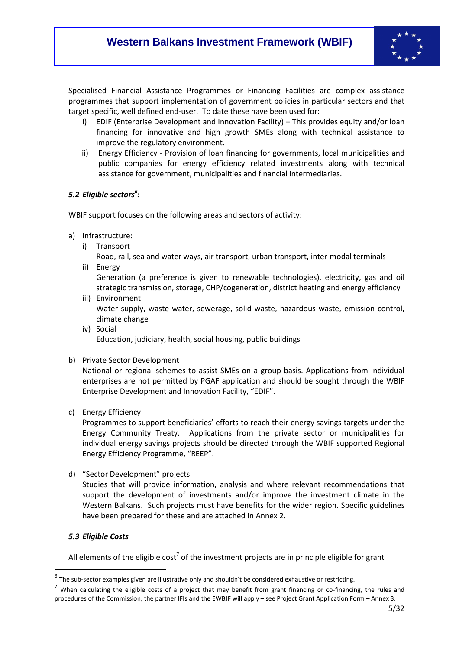

Specialised Financial Assistance Programmes or Financing Facilities are complex assistance programmes that support implementation of government policies in particular sectors and that target specific, well defined end-user. To date these have been used for:

- i) EDIF (Enterprise Development and Innovation Facility) This provides equity and/or loan financing for innovative and high growth SMEs along with technical assistance to improve the regulatory environment.
- ii) Energy Efficiency Provision of loan financing for governments, local municipalities and public companies for energy efficiency related investments along with technical assistance for government, municipalities and financial intermediaries.

### *5.2 Eligible sectors<sup>6</sup> :*

WBIF support focuses on the following areas and sectors of activity:

- a) Infrastructure:
	- i) Transport
		- Road, rail, sea and water ways, air transport, urban transport, inter-modal terminals
	- ii) Energy

Generation (a preference is given to renewable technologies), electricity, gas and oil strategic transmission, storage, CHP/cogeneration, district heating and energy efficiency

iii) Environment

Water supply, waste water, sewerage, solid waste, hazardous waste, emission control, climate change

- iv) Social Education, judiciary, health, social housing, public buildings
- b) Private Sector Development

National or regional schemes to assist SMEs on a group basis. Applications from individual enterprises are not permitted by PGAF application and should be sought through the WBIF Enterprise Development and Innovation Facility, "EDIF".

c) Energy Efficiency

Programmes to support beneficiaries' efforts to reach their energy savings targets under the Energy Community Treaty. Applications from the private sector or municipalities for individual energy savings projects should be directed through the WBIF supported Regional Energy Efficiency Programme, "REEP".

d) "Sector Development" projects

Studies that will provide information, analysis and where relevant recommendations that support the development of investments and/or improve the investment climate in the Western Balkans. Such projects must have benefits for the wider region. Specific guidelines have been prepared for these and are attached in Annex 2.

### *5.3 Eligible Costs*

l

All elements of the eligible cost<sup>7</sup> of the investment projects are in principle eligible for grant

 $<sup>6</sup>$  The sub-sector examples given are illustrative only and shouldn't be considered exhaustive or restricting.</sup>

 $<sup>7</sup>$  When calculating the eligible costs of a project that may benefit from grant financing or co-financing, the rules and</sup> procedures of the Commission, the partner IFIs and the EWBJF will apply – see Project Grant Application Form – Annex 3.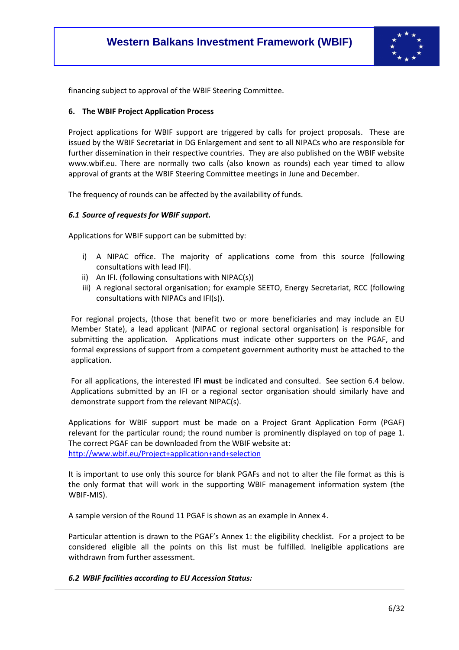

financing subject to approval of the WBIF Steering Committee.

#### **6. The WBIF Project Application Process**

Project applications for WBIF support are triggered by calls for project proposals. These are issued by the WBIF Secretariat in DG Enlargement and sent to all NIPACs who are responsible for further dissemination in their respective countries. They are also published on the WBIF website www.wbif.eu. There are normally two calls (also known as rounds) each year timed to allow approval of grants at the WBIF Steering Committee meetings in June and December.

The frequency of rounds can be affected by the availability of funds.

#### *6.1 Source of requests for WBIF support.*

Applications for WBIF support can be submitted by:

- i) A NIPAC office. The majority of applications come from this source (following consultations with lead IFI).
- ii) An IFI. (following consultations with NIPAC(s))
- iii) A regional sectoral organisation; for example SEETO, Energy Secretariat, RCC (following consultations with NIPACs and IFI(s)).

For regional projects, (those that benefit two or more beneficiaries and may include an EU Member State), a lead applicant (NIPAC or regional sectoral organisation) is responsible for submitting the application. Applications must indicate other supporters on the PGAF, and formal expressions of support from a competent government authority must be attached to the application.

For all applications, the interested IFI **must** be indicated and consulted. See section 6.4 below. Applications submitted by an IFI or a regional sector organisation should similarly have and demonstrate support from the relevant NIPAC(s).

Applications for WBIF support must be made on a Project Grant Application Form (PGAF) relevant for the particular round; the round number is prominently displayed on top of page 1. The correct PGAF can be downloaded from the WBIF website at: http://www.wbif.eu/Project+application+and+selection

It is important to use only this source for blank PGAFs and not to alter the file format as this is the only format that will work in the supporting WBIF management information system (the WBIF-MIS).

A sample version of the Round 11 PGAF is shown as an example in Annex 4.

Particular attention is drawn to the PGAF's Annex 1: the eligibility checklist. For a project to be considered eligible all the points on this list must be fulfilled. Ineligible applications are withdrawn from further assessment.

#### *6.2 WBIF facilities according to EU Accession Status:*

-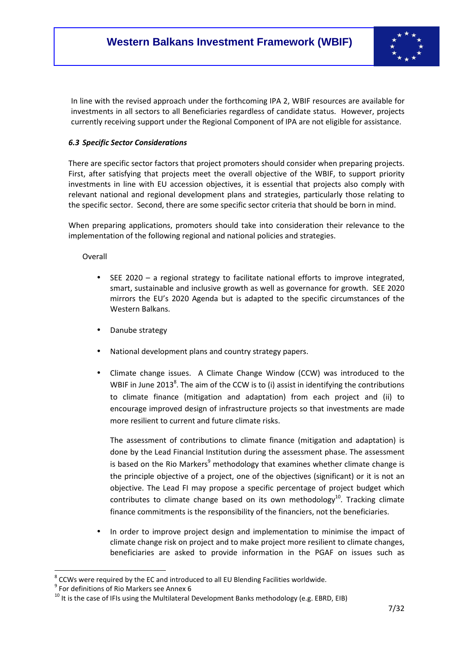

In line with the revised approach under the forthcoming IPA 2, WBIF resources are available for investments in all sectors to all Beneficiaries regardless of candidate status. However, projects currently receiving support under the Regional Component of IPA are not eligible for assistance.

### *6.3 Specific Sector Considerations*

There are specific sector factors that project promoters should consider when preparing projects. First, after satisfying that projects meet the overall objective of the WBIF, to support priority investments in line with EU accession objectives, it is essential that projects also comply with relevant national and regional development plans and strategies, particularly those relating to the specific sector. Second, there are some specific sector criteria that should be born in mind.

When preparing applications, promoters should take into consideration their relevance to the implementation of the following regional and national policies and strategies.

### Overall

- SEE 2020 a regional strategy to facilitate national efforts to improve integrated, smart, sustainable and inclusive growth as well as governance for growth. SEE 2020 mirrors the EU's 2020 Agenda but is adapted to the specific circumstances of the Western Balkans.
- Danube strategy
- National development plans and country strategy papers.
- Climate change issues. A Climate Change Window (CCW) was introduced to the WBIF in June 2013<sup>8</sup>. The aim of the CCW is to (i) assist in identifying the contributions to climate finance (mitigation and adaptation) from each project and (ii) to encourage improved design of infrastructure projects so that investments are made more resilient to current and future climate risks.

The assessment of contributions to climate finance (mitigation and adaptation) is done by the Lead Financial Institution during the assessment phase. The assessment is based on the Rio Markers<sup>9</sup> methodology that examines whether climate change is the principle objective of a project, one of the objectives (significant) or it is not an objective. The Lead FI may propose a specific percentage of project budget which contributes to climate change based on its own methodology<sup>10</sup>. Tracking climate finance commitments is the responsibility of the financiers, not the beneficiaries.

In order to improve project design and implementation to minimise the impact of climate change risk on project and to make project more resilient to climate changes, beneficiaries are asked to provide information in the PGAF on issues such as

 $8$  CCWs were required by the EC and introduced to all EU Blending Facilities worldwide.

<sup>&</sup>lt;sup>9</sup> For definitions of Rio Markers see Annex 6

<sup>10</sup> It is the case of IFIs using the Multilateral Development Banks methodology (e.g. EBRD, EIB)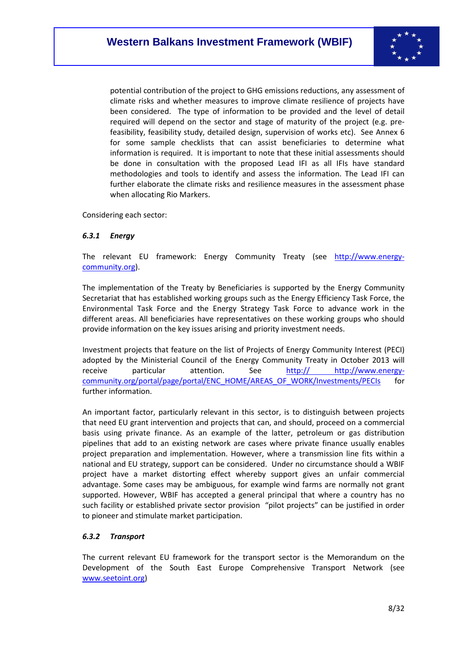

potential contribution of the project to GHG emissions reductions, any assessment of climate risks and whether measures to improve climate resilience of projects have been considered. The type of information to be provided and the level of detail required will depend on the sector and stage of maturity of the project (e.g. prefeasibility, feasibility study, detailed design, supervision of works etc). See Annex 6 for some sample checklists that can assist beneficiaries to determine what information is required. It is important to note that these initial assessments should be done in consultation with the proposed Lead IFI as all IFIs have standard methodologies and tools to identify and assess the information. The Lead IFI can further elaborate the climate risks and resilience measures in the assessment phase when allocating Rio Markers.

Considering each sector:

### *6.3.1 Energy*

The relevant EU framework: Energy Community Treaty (see http://www.energycommunity.org).

The implementation of the Treaty by Beneficiaries is supported by the Energy Community Secretariat that has established working groups such as the Energy Efficiency Task Force, the Environmental Task Force and the Energy Strategy Task Force to advance work in the different areas. All beneficiaries have representatives on these working groups who should provide information on the key issues arising and priority investment needs.

Investment projects that feature on the list of Projects of Energy Community Interest (PECI) adopted by the Ministerial Council of the Energy Community Treaty in October 2013 will receive particular attention. See http:// http://www.energycommunity.org/portal/page/portal/ENC\_HOME/AREAS\_OF\_WORK/Investments/PECIs for further information.

An important factor, particularly relevant in this sector, is to distinguish between projects that need EU grant intervention and projects that can, and should, proceed on a commercial basis using private finance. As an example of the latter, petroleum or gas distribution pipelines that add to an existing network are cases where private finance usually enables project preparation and implementation. However, where a transmission line fits within a national and EU strategy, support can be considered. Under no circumstance should a WBIF project have a market distorting effect whereby support gives an unfair commercial advantage. Some cases may be ambiguous, for example wind farms are normally not grant supported. However, WBIF has accepted a general principal that where a country has no such facility or established private sector provision "pilot projects" can be justified in order to pioneer and stimulate market participation.

### *6.3.2 Transport*

The current relevant EU framework for the transport sector is the Memorandum on the Development of the South East Europe Comprehensive Transport Network (see www.seetoint.org)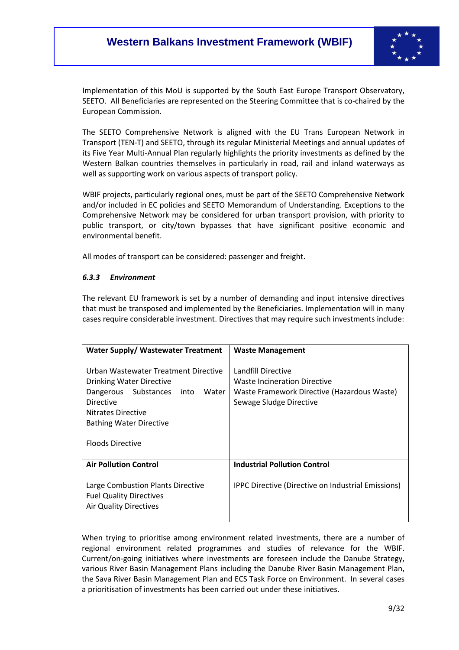

Implementation of this MoU is supported by the South East Europe Transport Observatory, SEETO. All Beneficiaries are represented on the Steering Committee that is co-chaired by the European Commission.

The SEETO Comprehensive Network is aligned with the EU Trans European Network in Transport (TEN-T) and SEETO, through its regular Ministerial Meetings and annual updates of its Five Year Multi-Annual Plan regularly highlights the priority investments as defined by the Western Balkan countries themselves in particularly in road, rail and inland waterways as well as supporting work on various aspects of transport policy.

WBIF projects, particularly regional ones, must be part of the SEETO Comprehensive Network and/or included in EC policies and SEETO Memorandum of Understanding. Exceptions to the Comprehensive Network may be considered for urban transport provision, with priority to public transport, or city/town bypasses that have significant positive economic and environmental benefit.

All modes of transport can be considered: passenger and freight.

### *6.3.3 Environment*

The relevant EU framework is set by a number of demanding and input intensive directives that must be transposed and implemented by the Beneficiaries. Implementation will in many cases require considerable investment. Directives that may require such investments include:

| Water Supply/ Wastewater Treatment                                                                                                                                                                               | <b>Waste Management</b>                                                                                                      |
|------------------------------------------------------------------------------------------------------------------------------------------------------------------------------------------------------------------|------------------------------------------------------------------------------------------------------------------------------|
| Urban Wastewater Treatment Directive<br>Drinking Water Directive<br>Dangerous Substances<br>into<br>Water<br><b>Directive</b><br>Nitrates Directive<br><b>Bathing Water Directive</b><br><b>Floods Directive</b> | Landfill Directive<br>Waste Incineration Directive<br>Waste Framework Directive (Hazardous Waste)<br>Sewage Sludge Directive |
| <b>Air Pollution Control</b>                                                                                                                                                                                     | <b>Industrial Pollution Control</b>                                                                                          |
| Large Combustion Plants Directive<br><b>Fuel Quality Directives</b><br><b>Air Quality Directives</b>                                                                                                             | <b>IPPC Directive (Directive on Industrial Emissions)</b>                                                                    |

When trying to prioritise among environment related investments, there are a number of regional environment related programmes and studies of relevance for the WBIF. Current/on-going initiatives where investments are foreseen include the Danube Strategy, various River Basin Management Plans including the Danube River Basin Management Plan, the Sava River Basin Management Plan and ECS Task Force on Environment. In several cases a prioritisation of investments has been carried out under these initiatives.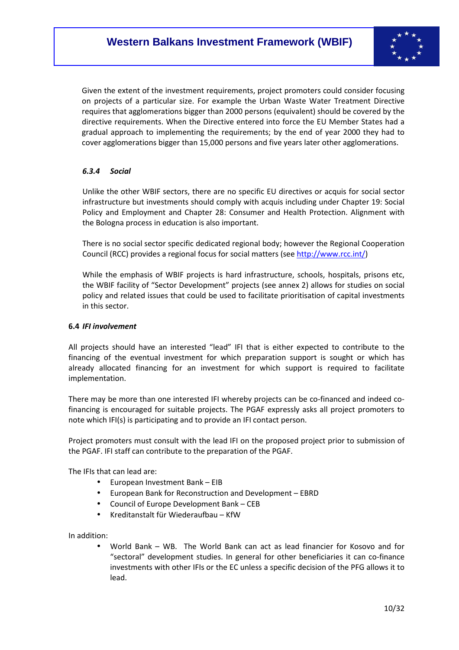

Given the extent of the investment requirements, project promoters could consider focusing on projects of a particular size. For example the Urban Waste Water Treatment Directive requires that agglomerations bigger than 2000 persons (equivalent) should be covered by the directive requirements. When the Directive entered into force the EU Member States had a gradual approach to implementing the requirements; by the end of year 2000 they had to cover agglomerations bigger than 15,000 persons and five years later other agglomerations.

### *6.3.4 Social*

Unlike the other WBIF sectors, there are no specific EU directives or acquis for social sector infrastructure but investments should comply with acquis including under Chapter 19: Social Policy and Employment and Chapter 28: Consumer and Health Protection. Alignment with the Bologna process in education is also important.

There is no social sector specific dedicated regional body; however the Regional Cooperation Council (RCC) provides a regional focus for social matters (see http://www.rcc.int/)

While the emphasis of WBIF projects is hard infrastructure, schools, hospitals, prisons etc, the WBIF facility of "Sector Development" projects (see annex 2) allows for studies on social policy and related issues that could be used to facilitate prioritisation of capital investments in this sector.

#### **6.4** *IFI involvement*

All projects should have an interested "lead" IFI that is either expected to contribute to the financing of the eventual investment for which preparation support is sought or which has already allocated financing for an investment for which support is required to facilitate implementation.

There may be more than one interested IFI whereby projects can be co-financed and indeed cofinancing is encouraged for suitable projects. The PGAF expressly asks all project promoters to note which IFI(s) is participating and to provide an IFI contact person.

Project promoters must consult with the lead IFI on the proposed project prior to submission of the PGAF. IFI staff can contribute to the preparation of the PGAF.

The IFIs that can lead are:

- European Investment Bank EIB
- European Bank for Reconstruction and Development EBRD
- Council of Europe Development Bank CEB
- Kreditanstalt für Wiederaufbau KfW

In addition:

• World Bank – WB. The World Bank can act as lead financier for Kosovo and for "sectoral" development studies. In general for other beneficiaries it can co-finance investments with other IFIs or the EC unless a specific decision of the PFG allows it to lead.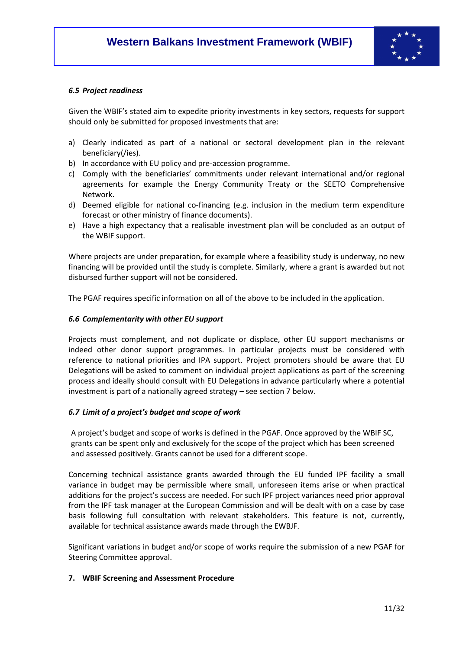

#### *6.5 Project readiness*

Given the WBIF's stated aim to expedite priority investments in key sectors, requests for support should only be submitted for proposed investments that are:

- a) Clearly indicated as part of a national or sectoral development plan in the relevant beneficiary(/ies).
- b) In accordance with EU policy and pre-accession programme.
- c) Comply with the beneficiaries' commitments under relevant international and/or regional agreements for example the Energy Community Treaty or the SEETO Comprehensive Network.
- d) Deemed eligible for national co-financing (e.g. inclusion in the medium term expenditure forecast or other ministry of finance documents).
- e) Have a high expectancy that a realisable investment plan will be concluded as an output of the WBIF support.

Where projects are under preparation, for example where a feasibility study is underway, no new financing will be provided until the study is complete. Similarly, where a grant is awarded but not disbursed further support will not be considered.

The PGAF requires specific information on all of the above to be included in the application.

#### *6.6 Complementarity with other EU support*

Projects must complement, and not duplicate or displace, other EU support mechanisms or indeed other donor support programmes. In particular projects must be considered with reference to national priorities and IPA support. Project promoters should be aware that EU Delegations will be asked to comment on individual project applications as part of the screening process and ideally should consult with EU Delegations in advance particularly where a potential investment is part of a nationally agreed strategy – see section 7 below.

#### *6.7 Limit of a project's budget and scope of work*

A project's budget and scope of works is defined in the PGAF. Once approved by the WBIF SC, grants can be spent only and exclusively for the scope of the project which has been screened and assessed positively. Grants cannot be used for a different scope.

Concerning technical assistance grants awarded through the EU funded IPF facility a small variance in budget may be permissible where small, unforeseen items arise or when practical additions for the project's success are needed. For such IPF project variances need prior approval from the IPF task manager at the European Commission and will be dealt with on a case by case basis following full consultation with relevant stakeholders. This feature is not, currently, available for technical assistance awards made through the EWBJF.

Significant variations in budget and/or scope of works require the submission of a new PGAF for Steering Committee approval.

#### **7. WBIF Screening and Assessment Procedure**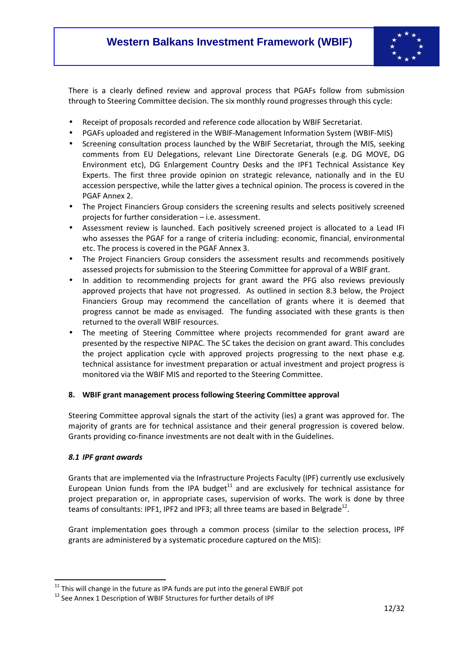

There is a clearly defined review and approval process that PGAFs follow from submission through to Steering Committee decision. The six monthly round progresses through this cycle:

- Receipt of proposals recorded and reference code allocation by WBIF Secretariat.
- PGAFs uploaded and registered in the WBIF-Management Information System (WBIF-MIS)
- Screening consultation process launched by the WBIF Secretariat, through the MIS, seeking comments from EU Delegations, relevant Line Directorate Generals (e.g. DG MOVE, DG Environment etc), DG Enlargement Country Desks and the IPF1 Technical Assistance Key Experts. The first three provide opinion on strategic relevance, nationally and in the EU accession perspective, while the latter gives a technical opinion. The process is covered in the PGAF Annex 2.
- The Project Financiers Group considers the screening results and selects positively screened projects for further consideration – i.e. assessment.
- Assessment review is launched. Each positively screened project is allocated to a Lead IFI who assesses the PGAF for a range of criteria including: economic, financial, environmental etc. The process is covered in the PGAF Annex 3.
- The Project Financiers Group considers the assessment results and recommends positively assessed projects for submission to the Steering Committee for approval of a WBIF grant.
- In addition to recommending projects for grant award the PFG also reviews previously approved projects that have not progressed. As outlined in section 8.3 below, the Project Financiers Group may recommend the cancellation of grants where it is deemed that progress cannot be made as envisaged. The funding associated with these grants is then returned to the overall WBIF resources.
- The meeting of Steering Committee where projects recommended for grant award are presented by the respective NIPAC. The SC takes the decision on grant award. This concludes the project application cycle with approved projects progressing to the next phase e.g. technical assistance for investment preparation or actual investment and project progress is monitored via the WBIF MIS and reported to the Steering Committee.

### **8. WBIF grant management process following Steering Committee approval**

Steering Committee approval signals the start of the activity (ies) a grant was approved for. The majority of grants are for technical assistance and their general progression is covered below. Grants providing co-finance investments are not dealt with in the Guidelines.

### *8.1 IPF grant awards*

l

Grants that are implemented via the Infrastructure Projects Faculty (IPF) currently use exclusively European Union funds from the IPA budget $11$  and are exclusively for technical assistance for project preparation or, in appropriate cases, supervision of works. The work is done by three teams of consultants: IPF1, IPF2 and IPF3; all three teams are based in Belgrade<sup>12</sup>.

Grant implementation goes through a common process (similar to the selection process, IPF grants are administered by a systematic procedure captured on the MIS):

 $11$  This will change in the future as IPA funds are put into the general EWBJF pot

<sup>&</sup>lt;sup>12</sup> See Annex 1 Description of WBIF Structures for further details of IPF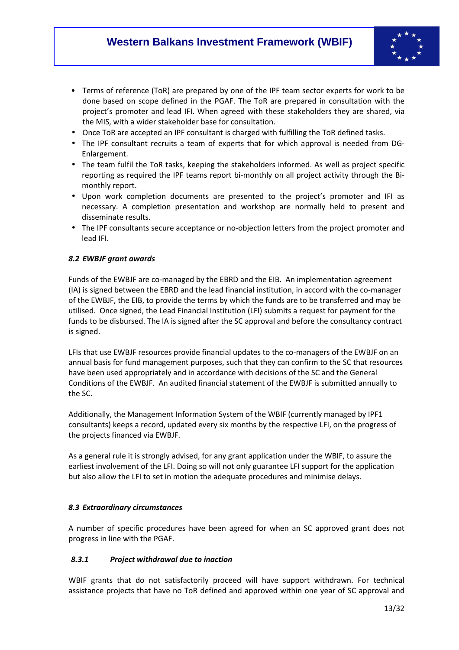

- Terms of reference (ToR) are prepared by one of the IPF team sector experts for work to be done based on scope defined in the PGAF. The ToR are prepared in consultation with the project's promoter and lead IFI. When agreed with these stakeholders they are shared, via the MIS, with a wider stakeholder base for consultation.
- Once ToR are accepted an IPF consultant is charged with fulfilling the ToR defined tasks.
- The IPF consultant recruits a team of experts that for which approval is needed from DG-Enlargement.
- The team fulfil the ToR tasks, keeping the stakeholders informed. As well as project specific reporting as required the IPF teams report bi-monthly on all project activity through the Bimonthly report.
- Upon work completion documents are presented to the project's promoter and IFI as necessary. A completion presentation and workshop are normally held to present and disseminate results.
- The IPF consultants secure acceptance or no-objection letters from the project promoter and lead IFI.

### *8.2 EWBJF grant awards*

Funds of the EWBJF are co-managed by the EBRD and the EIB. An implementation agreement (IA) is signed between the EBRD and the lead financial institution, in accord with the co-manager of the EWBJF, the EIB, to provide the terms by which the funds are to be transferred and may be utilised. Once signed, the Lead Financial Institution (LFI) submits a request for payment for the funds to be disbursed. The IA is signed after the SC approval and before the consultancy contract is signed.

LFIs that use EWBJF resources provide financial updates to the co-managers of the EWBJF on an annual basis for fund management purposes, such that they can confirm to the SC that resources have been used appropriately and in accordance with decisions of the SC and the General Conditions of the EWBJF. An audited financial statement of the EWBJF is submitted annually to the SC.

Additionally, the Management Information System of the WBIF (currently managed by IPF1 consultants) keeps a record, updated every six months by the respective LFI, on the progress of the projects financed via EWBJF.

As a general rule it is strongly advised, for any grant application under the WBIF, to assure the earliest involvement of the LFI. Doing so will not only guarantee LFI support for the application but also allow the LFI to set in motion the adequate procedures and minimise delays.

### *8.3 Extraordinary circumstances*

A number of specific procedures have been agreed for when an SC approved grant does not progress in line with the PGAF.

### *8.3.1 Project withdrawal due to inaction*

WBIF grants that do not satisfactorily proceed will have support withdrawn. For technical assistance projects that have no ToR defined and approved within one year of SC approval and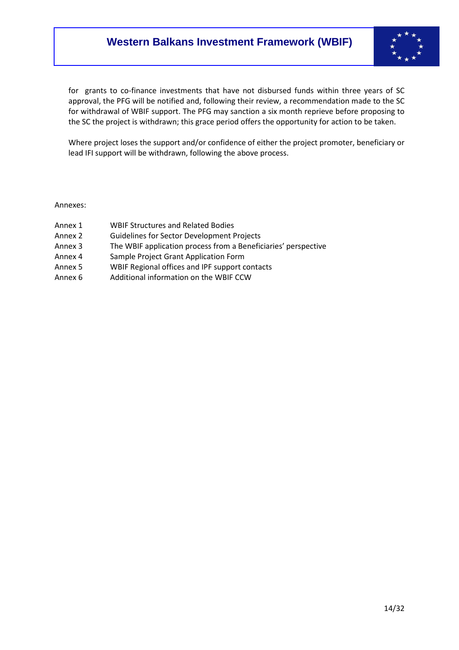

for grants to co-finance investments that have not disbursed funds within three years of SC approval, the PFG will be notified and, following their review, a recommendation made to the SC for withdrawal of WBIF support. The PFG may sanction a six month reprieve before proposing to the SC the project is withdrawn; this grace period offers the opportunity for action to be taken.

Where project loses the support and/or confidence of either the project promoter, beneficiary or lead IFI support will be withdrawn, following the above process.

Annexes:

- Annex 1 WBIF Structures and Related Bodies
- Annex 2 Guidelines for Sector Development Projects
- Annex 3 The WBIF application process from a Beneficiaries' perspective
- Annex 4 Sample Project Grant Application Form
- Annex 5 WBIF Regional offices and IPF support contacts
- Annex 6 Additional information on the WBIF CCW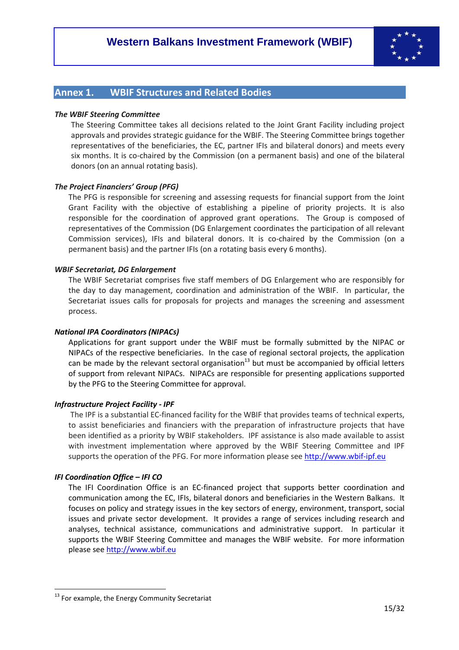

# **Annex 1. WBIF Structures and Related Bodies**

#### *The WBIF Steering Committee*

The Steering Committee takes all decisions related to the Joint Grant Facility including project approvals and provides strategic guidance for the WBIF. The Steering Committee brings together representatives of the beneficiaries, the EC, partner IFIs and bilateral donors) and meets every six months. It is co-chaired by the Commission (on a permanent basis) and one of the bilateral donors (on an annual rotating basis).

#### *The Project Financiers' Group (PFG)*

The PFG is responsible for screening and assessing requests for financial support from the Joint Grant Facility with the objective of establishing a pipeline of priority projects. It is also responsible for the coordination of approved grant operations. The Group is composed of representatives of the Commission (DG Enlargement coordinates the participation of all relevant Commission services), IFIs and bilateral donors. It is co-chaired by the Commission (on a permanent basis) and the partner IFIs (on a rotating basis every 6 months).

#### *WBIF Secretariat, DG Enlargement*

The WBIF Secretariat comprises five staff members of DG Enlargement who are responsibly for the day to day management, coordination and administration of the WBIF. In particular, the Secretariat issues calls for proposals for projects and manages the screening and assessment process.

#### *National IPA Coordinators (NIPACs)*

Applications for grant support under the WBIF must be formally submitted by the NIPAC or NIPACs of the respective beneficiaries. In the case of regional sectoral projects, the application can be made by the relevant sectoral organisation<sup>13</sup> but must be accompanied by official letters of support from relevant NIPACs. NIPACs are responsible for presenting applications supported by the PFG to the Steering Committee for approval.

#### *Infrastructure Project Facility - IPF*

The IPF is a substantial EC-financed facility for the WBIF that provides teams of technical experts, to assist beneficiaries and financiers with the preparation of infrastructure projects that have been identified as a priority by WBIF stakeholders. IPF assistance is also made available to assist with investment implementation where approved by the WBIF Steering Committee and IPF supports the operation of the PFG. For more information please see http://www.wbif-ipf.eu

#### *IFI Coordination Office – IFI CO*

l

The IFI Coordination Office is an EC-financed project that supports better coordination and communication among the EC, IFIs, bilateral donors and beneficiaries in the Western Balkans. It focuses on policy and strategy issues in the key sectors of energy, environment, transport, social issues and private sector development. It provides a range of services including research and analyses, technical assistance, communications and administrative support. In particular it supports the WBIF Steering Committee and manages the WBIF website. For more information please see http://www.wbif.eu

<sup>&</sup>lt;sup>13</sup> For example, the Energy Community Secretariat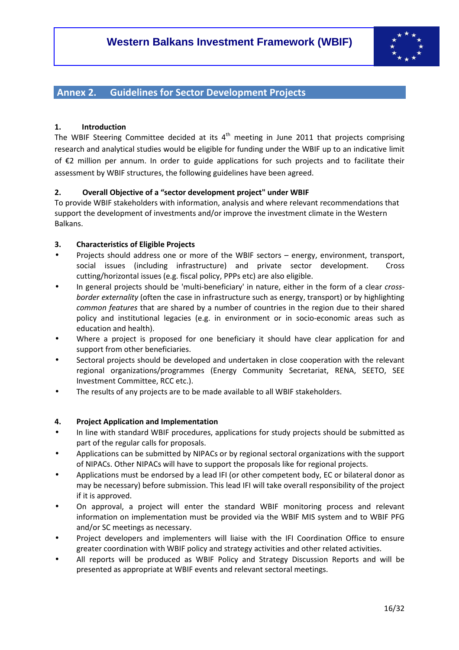

## **Annex 2. Guidelines for Sector Development Projects**

#### **1. Introduction**

The WBIF Steering Committee decided at its  $4<sup>th</sup>$  meeting in June 2011 that projects comprising research and analytical studies would be eligible for funding under the WBIF up to an indicative limit of €2 million per annum. In order to guide applications for such projects and to facilitate their assessment by WBIF structures, the following guidelines have been agreed.

#### **2. Overall Objective of a "sector development project" under WBIF**

To provide WBIF stakeholders with information, analysis and where relevant recommendations that support the development of investments and/or improve the investment climate in the Western Balkans.

#### **3. Characteristics of Eligible Projects**

- Projects should address one or more of the WBIF sectors energy, environment, transport, social issues (including infrastructure) and private sector development. Cross cutting/horizontal issues (e.g. fiscal policy, PPPs etc) are also eligible.
- In general projects should be 'multi-beneficiary' in nature, either in the form of a clear *crossborder externality* (often the case in infrastructure such as energy, transport) or by highlighting *common features* that are shared by a number of countries in the region due to their shared policy and institutional legacies (e.g. in environment or in socio-economic areas such as education and health).
- Where a project is proposed for one beneficiary it should have clear application for and support from other beneficiaries.
- Sectoral projects should be developed and undertaken in close cooperation with the relevant regional organizations/programmes (Energy Community Secretariat, RENA, SEETO, SEE Investment Committee, RCC etc.).
- The results of any projects are to be made available to all WBIF stakeholders.

#### **4. Project Application and Implementation**

- In line with standard WBIF procedures, applications for study projects should be submitted as part of the regular calls for proposals.
- Applications can be submitted by NIPACs or by regional sectoral organizations with the support of NIPACs. Other NIPACs will have to support the proposals like for regional projects.
- Applications must be endorsed by a lead IFI (or other competent body, EC or bilateral donor as may be necessary) before submission. This lead IFI will take overall responsibility of the project if it is approved.
- On approval, a project will enter the standard WBIF monitoring process and relevant information on implementation must be provided via the WBIF MIS system and to WBIF PFG and/or SC meetings as necessary.
- Project developers and implementers will liaise with the IFI Coordination Office to ensure greater coordination with WBIF policy and strategy activities and other related activities.
- All reports will be produced as WBIF Policy and Strategy Discussion Reports and will be presented as appropriate at WBIF events and relevant sectoral meetings.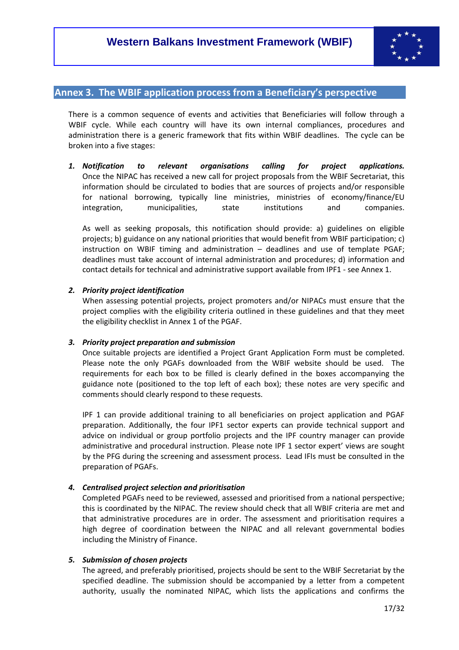

# **Annex 3. The WBIF application process from a Beneficiary's perspective**

There is a common sequence of events and activities that Beneficiaries will follow through a WBIF cycle. While each country will have its own internal compliances, procedures and administration there is a generic framework that fits within WBIF deadlines. The cycle can be broken into a five stages:

*1. Notification to relevant organisations calling for project applications.*  Once the NIPAC has received a new call for project proposals from the WBIF Secretariat, this information should be circulated to bodies that are sources of projects and/or responsible for national borrowing, typically line ministries, ministries of economy/finance/EU integration, municipalities, state institutions and companies.

As well as seeking proposals, this notification should provide: a) guidelines on eligible projects; b) guidance on any national priorities that would benefit from WBIF participation; c) instruction on WBIF timing and administration – deadlines and use of template PGAF; deadlines must take account of internal administration and procedures; d) information and contact details for technical and administrative support available from IPF1 - see Annex 1.

#### *2. Priority project identification*

When assessing potential projects, project promoters and/or NIPACs must ensure that the project complies with the eligibility criteria outlined in these guidelines and that they meet the eligibility checklist in Annex 1 of the PGAF.

#### *3. Priority project preparation and submission*

Once suitable projects are identified a Project Grant Application Form must be completed. Please note the only PGAFs downloaded from the WBIF website should be used. The requirements for each box to be filled is clearly defined in the boxes accompanying the guidance note (positioned to the top left of each box); these notes are very specific and comments should clearly respond to these requests.

IPF 1 can provide additional training to all beneficiaries on project application and PGAF preparation. Additionally, the four IPF1 sector experts can provide technical support and advice on individual or group portfolio projects and the IPF country manager can provide administrative and procedural instruction. Please note IPF 1 sector expert' views are sought by the PFG during the screening and assessment process. Lead IFIs must be consulted in the preparation of PGAFs.

### *4. Centralised project selection and prioritisation*

Completed PGAFs need to be reviewed, assessed and prioritised from a national perspective; this is coordinated by the NIPAC. The review should check that all WBIF criteria are met and that administrative procedures are in order. The assessment and prioritisation requires a high degree of coordination between the NIPAC and all relevant governmental bodies including the Ministry of Finance.

#### *5. Submission of chosen projects*

The agreed, and preferably prioritised, projects should be sent to the WBIF Secretariat by the specified deadline. The submission should be accompanied by a letter from a competent authority, usually the nominated NIPAC, which lists the applications and confirms the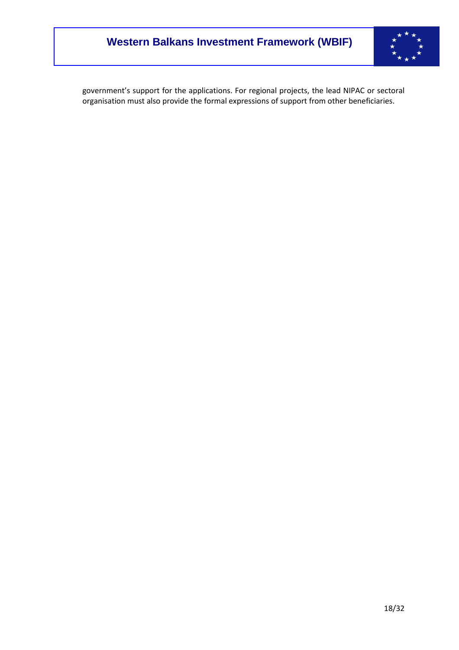

government's support for the applications. For regional projects, the lead NIPAC or sectoral organisation must also provide the formal expressions of support from other beneficiaries.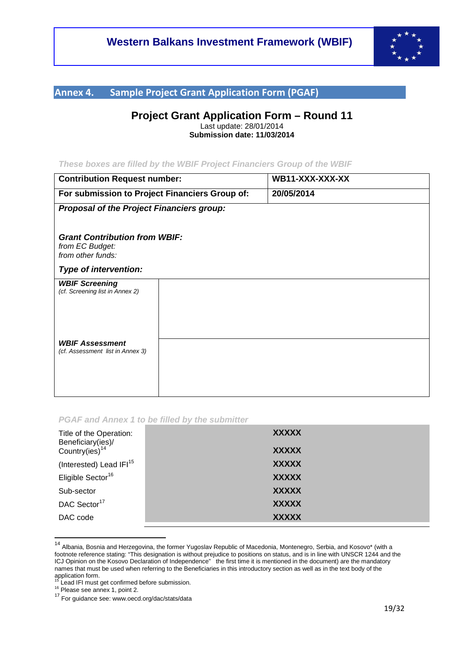

# **Annex 4. Sample Project Grant Application Form (PGAF)**

# **Project Grant Application Form – Round 11**

Last update: 28/01/2014 **Submission date: 11/03/2014** 

#### **These boxes are filled by the WBIF Project Financiers Group of the WBIF**

| <b>Contribution Request number:</b>                                          |  | WB11-XXX-XXX-XX |  |
|------------------------------------------------------------------------------|--|-----------------|--|
| For submission to Project Financiers Group of:                               |  | 20/05/2014      |  |
| <b>Proposal of the Project Financiers group:</b>                             |  |                 |  |
|                                                                              |  |                 |  |
| <b>Grant Contribution from WBIF:</b><br>from EC Budget:<br>from other funds: |  |                 |  |
| Type of intervention:                                                        |  |                 |  |
| <b>WBIF Screening</b><br>(cf. Screening list in Annex 2)                     |  |                 |  |
|                                                                              |  |                 |  |
|                                                                              |  |                 |  |
|                                                                              |  |                 |  |
| <b>WBIF Assessment</b><br>(cf. Assessment list in Annex 3)                   |  |                 |  |
|                                                                              |  |                 |  |
|                                                                              |  |                 |  |
|                                                                              |  |                 |  |

#### **PGAF and Annex 1 to be filled by the submitter**

| Title of the Operation:<br>Beneficiary(ies)/<br>Country(ies) <sup>14</sup> | <b>XXXXX</b><br><b>XXXXX</b> |
|----------------------------------------------------------------------------|------------------------------|
| (Interested) Lead IFI <sup>15</sup>                                        | <b>XXXXX</b>                 |
| Eligible Sector <sup>16</sup>                                              | <b>XXXXX</b>                 |
| Sub-sector                                                                 | <b>XXXXX</b>                 |
| DAC Sector <sup>17</sup>                                                   | <b>XXXXX</b>                 |
| DAC code                                                                   | <b>XXXXX</b>                 |

<sup>&</sup>lt;sup>14</sup> Albania, Bosnia and Herzegovina, the former Yugoslav Republic of Macedonia, Montenegro, Serbia, and Kosovo\* (with a footnote reference stating: "This designation is without prejudice to positions on status, and is in line with UNSCR 1244 and the ICJ Opinion on the Kosovo Declaration of Independence" the first time it is mentioned in the document) are the mandatory names that must be used when referring to the Beneficiaries in this introductory section as well as in the text body of the application form.

<sup>&</sup>lt;sup>15</sup> Lead IFI must get confirmed before submission.

<sup>&</sup>lt;sup>16</sup> Please see annex 1, point 2.

<sup>17</sup> For guidance see: www.oecd.org/dac/stats/data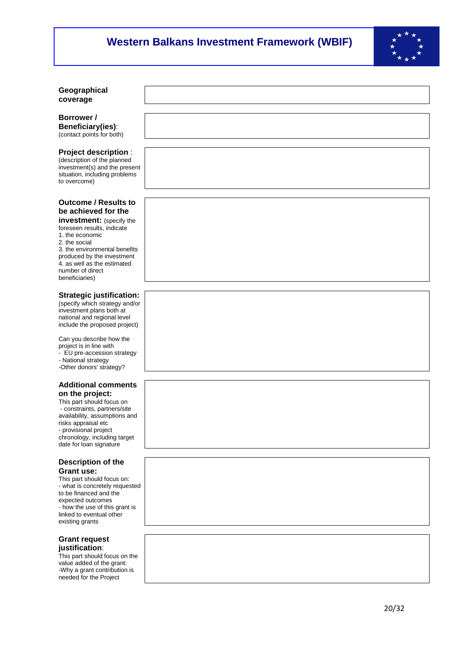

#### **Geographical coverage**

**Borrower / Beneficiary(ies)**: (contact points for both)

#### **Project description** :

(description of the planned investment(s) and the present situation, including problems to overcome)

## **Outcome / Results to be achieved for the**

**investment:** (specify the foreseen results, indicate 1. the economic 2. the social 3. the environmental benefits produced by the investment 4. as well as the estimated number of direct beneficiaries)

#### **Strategic justification:**

(specify which strategy and/or investment plans both at national and regional level include the proposed project)

Can you describe how the project is in line with - EU pre-accession strategy - National strategy -Other donors' strategy?

#### **Additional comments on the project:**

This part should focus on - constraints, partners/site availability, assumptions and risks appraisal etc - provisional project chronology, including target date for loan signature

#### **Description of the Grant use:**

This part should focus on: - what is concretely requested to be financed and the expected outcomes - how the use of this grant is linked to eventual other existing grants

#### **Grant request justification**:

This part should focus on the value added of the grant: -Why a grant contribution is needed for the Project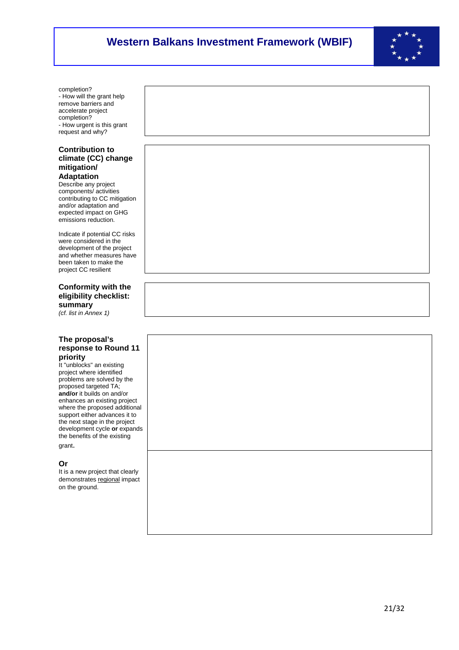

completion? - How will the grant help remove barriers and accelerate project completion? - How urgent is this grant request and why?

#### **Contribution to climate (CC) change mitigation/ Adaptation**

Describe any project components/ activities contributing to CC mitigation and/or adaptation and expected impact on GHG emissions reduction.

Indicate if potential CC risks were considered in the development of the project and whether measures have been taken to make the project CC resilient

### **Conformity with the eligibility checklist: summary**

(cf. list in Annex 1)

#### **The proposal's response to Round 11 priority**

It "unblocks" an existing project where identified problems are solved by the proposed targeted TA; **and/or** it builds on and/or enhances an existing project where the proposed additional support either advances it to the next stage in the project development cycle **or** expands the benefits of the existing grant.

### **Or**

It is a new project that clearly demonstrates regional impact on the ground.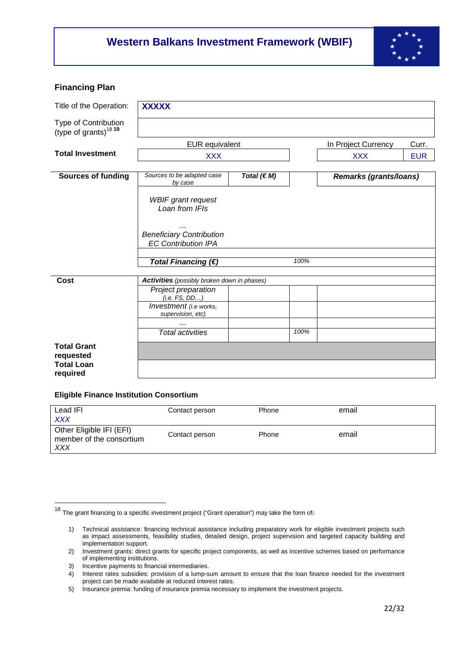

### **Financing Plan**

| Title of the Operation:                                   | <b>XXXXX</b>                                                       |                 |      |                        |            |
|-----------------------------------------------------------|--------------------------------------------------------------------|-----------------|------|------------------------|------------|
| Type of Contribution<br>(type of grants) <sup>18</sup> 19 |                                                                    |                 |      |                        |            |
|                                                           | <b>EUR</b> equivalent                                              |                 |      | In Project Currency    | Curr.      |
| <b>Total Investment</b>                                   | <b>XXX</b>                                                         |                 |      | <b>XXX</b>             | <b>EUR</b> |
| <b>Sources of funding</b>                                 | Sources to be adapted case<br>by case                              | Total $(\in M)$ |      | Remarks (grants/loans) |            |
|                                                           | <b>WBIF</b> grant request<br>Loan from IFIs                        |                 |      |                        |            |
|                                                           | .<br><b>Beneficiary Contribution</b><br><b>EC Contribution IPA</b> |                 |      |                        |            |
|                                                           | Total Financing $(€)$                                              |                 | 100% |                        |            |
| <b>Cost</b>                                               | <b>Activities</b> (possibly broken down in phases)                 |                 |      |                        |            |
|                                                           | Project preparation<br>(i.e. FS, DD)                               |                 |      |                        |            |
|                                                           | Investment (i.e works,<br>supervision, etc)                        |                 |      |                        |            |
|                                                           | $\cdots$<br><b>Total activities</b>                                |                 | 100% |                        |            |
| <b>Total Grant</b><br>requested                           |                                                                    |                 |      |                        |            |
| <b>Total Loan</b><br>required                             |                                                                    |                 |      |                        |            |

#### **Eligible Finance Institution Consortium**

| Lead IFI<br><b>XXX</b>                                             | Contact person | Phone | email |
|--------------------------------------------------------------------|----------------|-------|-------|
| Other Eligible IFI (EFI)<br>member of the consortium<br><b>XXX</b> | Contact person | Phone | email |

<sup>18</sup> The grant financing to a specific investment project ("Grant operation") may take the form of**:**

<sup>1)</sup> Technical assistance: financing technical assistance including preparatory work for eligible investment projects such as impact assessments, feasibility studies, detailed design, project supervision and targeted capacity building and implementation support.

<sup>2)</sup> Investment grants: direct grants for specific project components, as well as incentive schemes based on performance of implementing institutions.

<sup>3)</sup> Incentive payments to financial intermediaries.

<sup>4)</sup> Interest rates subsidies: provision of a lump-sum amount to ensure that the loan finance needed for the investment project can be made available at reduced interest rates.

<sup>5)</sup> Insurance premia: funding of insurance premia necessary to implement the investment projects.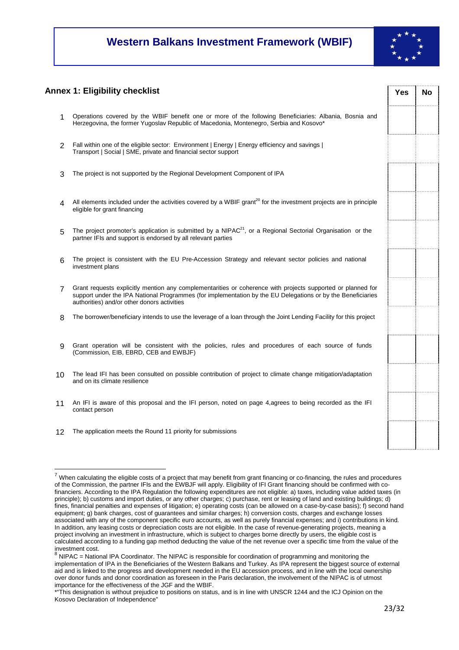

#### **Annex 1: Eligibility checklist** *No Yes* **No**

- 1 Operations covered by the WBIF benefit one or more of the following Beneficiaries: Albania, Bosnia and Herzegovina, the former Yugoslav Republic of Macedonia, Montenegro, Serbia and Kosovo\*
- 2 Fall within one of the eligible sector: Environment | Energy | Energy efficiency and savings | Transport | Social | SME, private and financial sector support
- 3 The project is not supported by the Regional Development Component of IPA
- $\Delta$  All elements included under the activities covered by a WBIF grant<sup>20</sup> for the investment projects are in principle eligible for grant financing
- $5$  The project promoter's application is submitted by a NIPAC<sup>21</sup>, or a Regional Sectorial Organisation or the partner IFIs and support is endorsed by all relevant parties
- 6 The project is consistent with the EU Pre-Accession Strategy and relevant sector policies and national investment plans
- 7 Grant requests explicitly mention any complementarities or coherence with projects supported or planned for support under the IPA National Programmes (for implementation by the EU Delegations or by the Beneficiaries authorities) and/or other donors activities
- 8 The borrower/beneficiary intends to use the leverage of a loan through the Joint Lending Facility for this project
- 9 Grant operation will be consistent with the policies, rules and procedures of each source of funds (Commission, EIB, EBRD, CEB and EWBJF)
- 10 The lead IFI has been consulted on possible contribution of project to climate change mitigation/adaptation and on its climate resilience
- 11 An IFI is aware of this proposal and the IFI person, noted on page 4,agrees to being recorded as the IFI contact person
- 12 The application meets the Round 11 priority for submissions

l  $^7$  When calculating the eligible costs of a project that may benefit from grant financing or co-financing, the rules and procedures of the Commission, the partner IFIs and the EWBJF will apply. Eligibility of IFI Grant financing should be confirmed with cofinanciers. According to the IPA Regulation the following expenditures are not eligible: a) taxes, including value added taxes (in principle); b) customs and import duties, or any other charges; c) purchase, rent or leasing of land and existing buildings; d) fines, financial penalties and expenses of litigation; e) operating costs (can be allowed on a case-by-case basis); f) second hand equipment; g) bank charges, cost of guarantees and similar charges; h) conversion costs, charges and exchange losses associated with any of the component specific euro accounts, as well as purely financial expenses; and i) contributions in kind. In addition, any leasing costs or depreciation costs are not eligible. In the case of revenue-generating projects, meaning a project involving an investment in infrastructure, which is subject to charges borne directly by users, the eligible cost is calculated according to a funding gap method deducting the value of the net revenue over a specific time from the value of the investment cost.

<sup>8</sup> NIPAC = National IPA Coordinator. The NIPAC is responsible for coordination of programming and monitoring the implementation of IPA in the Beneficiaries of the Western Balkans and Turkey. As IPA represent the biggest source of external aid and is linked to the progress and development needed in the EU accession process, and in line with the local ownership over donor funds and donor coordination as foreseen in the Paris declaration, the involvement of the NIPAC is of utmost importance for the effectiveness of the JGF and the WBIF.

<sup>\*&</sup>quot;This designation is without prejudice to positions on status, and is in line with UNSCR 1244 and the ICJ Opinion on the Kosovo Declaration of Independence"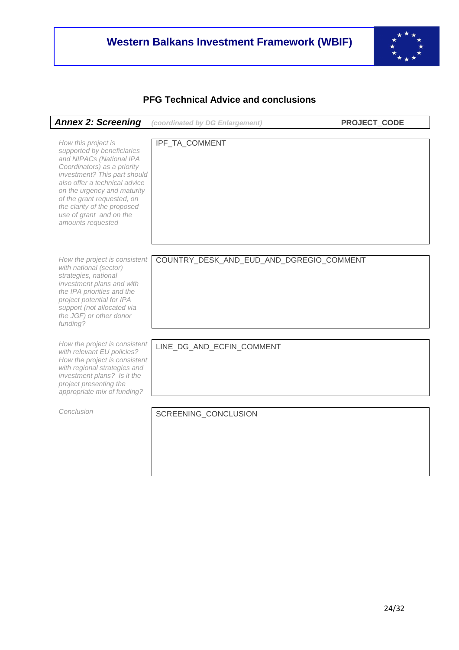

# **PFG Technical Advice and conclusions**

| <b>Annex 2: Screening</b>                                                                                                                                                                                                                                                                                                 | (coordinated by DG Enlargement)          | PROJECT_CODE |
|---------------------------------------------------------------------------------------------------------------------------------------------------------------------------------------------------------------------------------------------------------------------------------------------------------------------------|------------------------------------------|--------------|
| How this project is<br>supported by beneficiaries<br>and NIPACs (National IPA<br>Coordinators) as a priority<br>investment? This part should<br>also offer a technical advice<br>on the urgency and maturity<br>of the grant requested, on<br>the clarity of the proposed<br>use of grant and on the<br>amounts requested | IPF_TA_COMMENT                           |              |
| How the project is consistent<br>with national (sector)<br>strategies, national<br>investment plans and with<br>the IPA priorities and the<br>project potential for IPA<br>support (not allocated via<br>the JGF) or other donor<br>funding?                                                                              | COUNTRY_DESK_AND_EUD_AND_DGREGIO_COMMENT |              |
| How the project is consistent<br>with relevant EU policies?<br>How the project is consistent<br>with regional strategies and<br>investment plans? Is it the<br>project presenting the<br>appropriate mix of funding?                                                                                                      | LINE_DG_AND_ECFIN_COMMENT                |              |
| Conclusion                                                                                                                                                                                                                                                                                                                | SCREENING_CONCLUSION                     |              |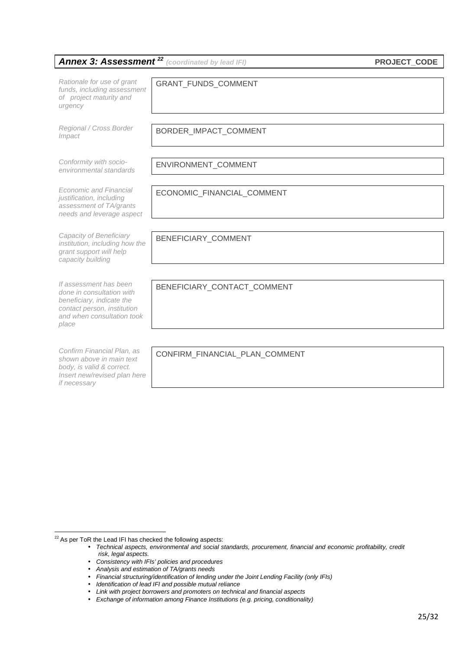|                                                                                                                                                        | <b>Annex 3: Assessment<sup>22</sup></b> (coordinated by lead IFI) | <b>PROJECT_CODE</b> |
|--------------------------------------------------------------------------------------------------------------------------------------------------------|-------------------------------------------------------------------|---------------------|
| Rationale for use of grant<br>funds, including assessment<br>of project maturity and<br>urgency                                                        | GRANT_FUNDS_COMMENT                                               |                     |
| Regional / Cross Border<br>Impact                                                                                                                      | BORDER_IMPACT_COMMENT                                             |                     |
| Conformity with socio-<br>environmental standards                                                                                                      | ENVIRONMENT_COMMENT                                               |                     |
| Economic and Financial<br>justification, including<br>assessment of TA/grants<br>needs and leverage aspect                                             | ECONOMIC_FINANCIAL_COMMENT                                        |                     |
| Capacity of Beneficiary<br>institution, including how the<br>grant support will help<br>capacity building                                              | BENEFICIARY_COMMENT                                               |                     |
| If assessment has been<br>done in consultation with<br>beneficiary, indicate the<br>contact person, institution<br>and when consultation took<br>place | BENEFICIARY_CONTACT_COMMENT                                       |                     |
| Confirm Financial Plan, as<br>shown above in main text<br>body, is valid & correct.<br>Insert new/revised plan here<br>if necessary                    | CONFIRM FINANCIAL PLAN COMMENT                                    |                     |

l  $22$  As per ToR the Lead IFI has checked the following aspects:

- Consistency with IFIs' policies and procedures
- Analysis and estimation of TA/grants needs
- Financial structuring/identification of lending under the Joint Lending Facility (only IFIs)
- Identification of lead IFI and possible mutual reliance
- Link with project borrowers and promoters on technical and financial aspects

<sup>•</sup> Technical aspects, environmental and social standards, procurement, financial and economic profitability, credit risk, legal aspects.

<sup>•</sup> Exchange of information among Finance Institutions (e.g. pricing, conditionality)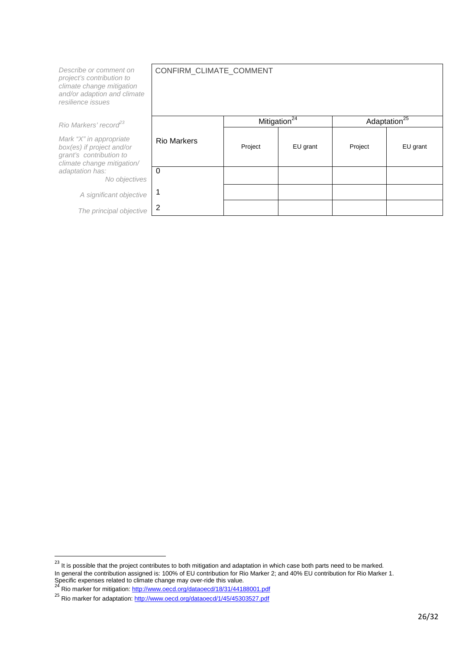| Describe or comment on<br>project's contribution to<br>climate change mitigation<br>and/or adaption and climate<br>resilience issues | CONFIRM_CLIMATE_COMMENT |                          |          |         |                          |
|--------------------------------------------------------------------------------------------------------------------------------------|-------------------------|--------------------------|----------|---------|--------------------------|
| Rio Markers' record <sup>23</sup>                                                                                                    |                         | Mitigation <sup>24</sup> |          |         | Adaptation <sup>25</sup> |
| Mark "X" in appropriate<br>box(es) if project and/or<br>grant's contribution to<br>climate change mitigation/                        | <b>Rio Markers</b>      | Project                  | EU grant | Project | EU grant                 |
| adaptation has:<br>No objectives                                                                                                     | $\Omega$                |                          |          |         |                          |
| A significant objective                                                                                                              |                         |                          |          |         |                          |
| The principal objective                                                                                                              | 2                       |                          |          |         |                          |

 $^{23}$  It is possible that the project contributes to both mitigation and adaptation in which case both parts need to be marked. In general the contribution assigned is: 100% of EU contribution for Rio Marker 2; and 40% EU contribution for Rio Marker 1.

Specific expenses related to climate change may over-ride this value.<br><sup>24</sup> Rio marker for mitigation: <u>http://www.oecd.org/dataoecd/18/31/44188001.pdf</u>

<sup>&</sup>lt;sup>25</sup> Rio marker for adaptation: http://www.oecd.org/dataoecd/1/45/45303527.pdf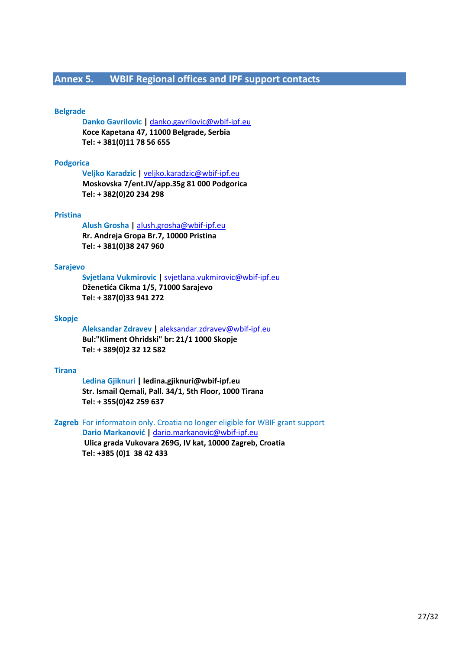# **Annex 5. WBIF Regional offices and IPF support contacts**

#### **Belgrade**

**Danko Gavrilovic |** danko.gavrilovic@wbif-ipf.eu **Koce Kapetana 47, 11000 Belgrade, Serbia Tel: + 381(0)11 78 56 655** 

#### **Podgorica**

**Veljko Karadzic |** veljko.karadzic@wbif-ipf.eu **Moskovska 7/ent.IV/app.35g 81 000 Podgorica Tel: + 382(0)20 234 298** 

#### **Pristina**

#### **Alush Grosha |** alush.grosha@wbif-ipf.eu

**Rr. Andreja Gropa Br.7, 10000 Pristina Tel: + 381(0)38 247 960** 

#### **Sarajevo**

 **Svjetlana Vukmirovic |** svjetlana.vukmirovic@wbif-ipf.eu **Dženetića Cikma 1/5, 71000 Sarajevo Tel: + 387(0)33 941 272** 

#### **Skopje**

**Aleksandar Zdravev |** aleksandar.zdravev@wbif-ipf.eu **Bul:"Kliment Ohridski" br: 21/1 1000 Skopje Tel: + 389(0)2 32 12 582** 

#### **Tirana**

**Ledina Gjiknuri | ledina.gjiknuri@wbif-ipf.eu Str. Ismail Qemali, Pall. 34/1, 5th Floor, 1000 Tirana Tel: + 355(0)42 259 637** 

#### **Zagreb** For informatoin only. Croatia no longer eligible for WBIF grant support

**Dario Markanović |** dario.markanovic@wbif-ipf.eu  **Ulica grada Vukovara 269G, IV kat, 10000 Zagreb, Croatia Tel: +385 (0)1 38 42 433**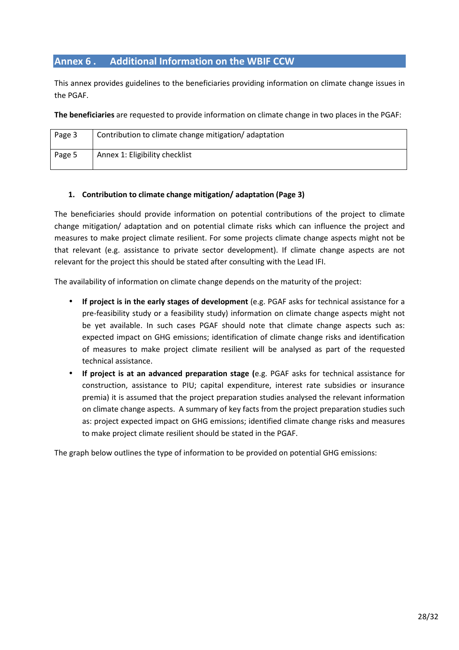# **Annex 6 . Additional Information on the WBIF CCW**

This annex provides guidelines to the beneficiaries providing information on climate change issues in the PGAF.

**The beneficiaries** are requested to provide information on climate change in two places in the PGAF:

| Page 3 | Contribution to climate change mitigation/adaptation |
|--------|------------------------------------------------------|
| Page 5 | Annex 1: Eligibility checklist                       |

#### **1. Contribution to climate change mitigation/ adaptation (Page 3)**

The beneficiaries should provide information on potential contributions of the project to climate change mitigation/ adaptation and on potential climate risks which can influence the project and measures to make project climate resilient. For some projects climate change aspects might not be that relevant (e.g. assistance to private sector development). If climate change aspects are not relevant for the project this should be stated after consulting with the Lead IFI.

The availability of information on climate change depends on the maturity of the project:

- **If project is in the early stages of development** (e.g. PGAF asks for technical assistance for a pre-feasibility study or a feasibility study) information on climate change aspects might not be yet available. In such cases PGAF should note that climate change aspects such as: expected impact on GHG emissions; identification of climate change risks and identification of measures to make project climate resilient will be analysed as part of the requested technical assistance.
- **If project is at an advanced preparation stage (**e.g. PGAF asks for technical assistance for construction, assistance to PIU; capital expenditure, interest rate subsidies or insurance premia) it is assumed that the project preparation studies analysed the relevant information on climate change aspects. A summary of key facts from the project preparation studies such as: project expected impact on GHG emissions; identified climate change risks and measures to make project climate resilient should be stated in the PGAF.

The graph below outlines the type of information to be provided on potential GHG emissions: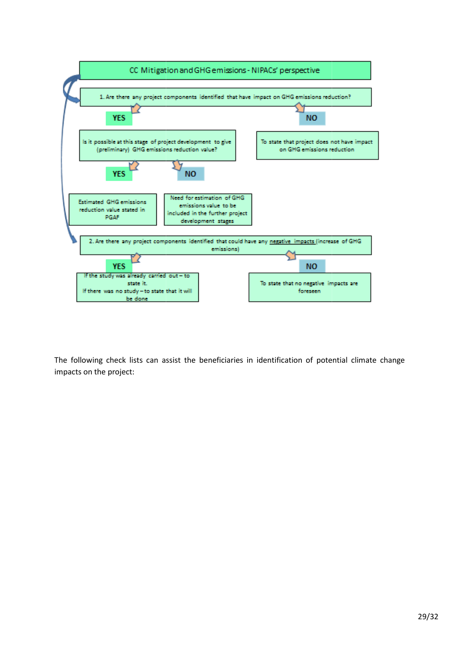

The following check lists can assist the beneficiaries in identification of potential climate change impacts on the project: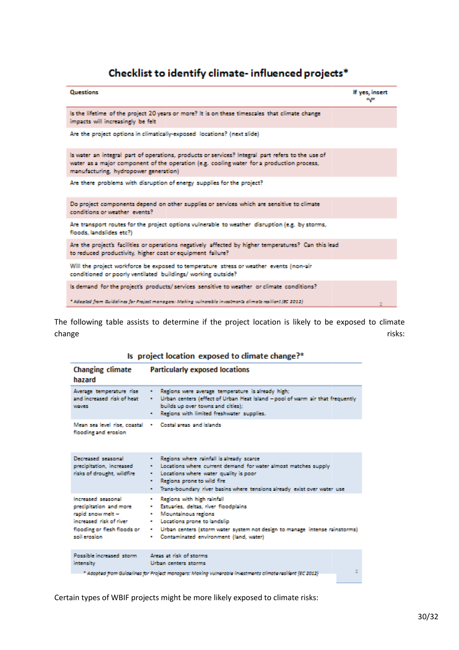# Checklist to identify climate- influenced projects\*

| Questions                                                                                                                                                                                                                               | If yes, insert<br>u <sub>a</sub> n |
|-----------------------------------------------------------------------------------------------------------------------------------------------------------------------------------------------------------------------------------------|------------------------------------|
| Is the lifetime of the project 20 years or more? It is on these timescales that climate change<br>impacts will increasingly be felt                                                                                                     |                                    |
| Are the project options in climatically-exposed locations? (next slide)                                                                                                                                                                 |                                    |
| Is water an integral part of operations, products or services? Integral part refers to the use of<br>water as a major component of the operation (e.g. cooling water for a production process,<br>manufacturing, hydropower generation) |                                    |
| Are there problems with disruption of energy supplies for the project?                                                                                                                                                                  |                                    |
| Do project components depend on other supplies or services which are sensitive to climate<br>conditions or weather events?                                                                                                              |                                    |
| Are transport routes for the project options vulnerable to weather disruption (e.g. by storms,<br>floods, landslides etc?)                                                                                                              |                                    |
| Are the project's facilities or operations negatively affected by higher temperatures? Can this lead<br>to reduced productivity, higher cost or equipment failure?                                                                      |                                    |
| Will the project workforce be exposed to temperature stress or weather events (non-air<br>conditioned or poorly ventilated buildings/ working outside?                                                                                  |                                    |
| Is demand for the project's products/services sensitive to weather or climate conditions?                                                                                                                                               |                                    |
| " Adopted from Guidelines for Project managers: Making vulnerable investments elimate resilient (BC 2012).                                                                                                                              |                                    |

The following table assists to determine if the project location is likely to be exposed to climate change risks: example and the control of the control of the control of the control of the control of the control of the control of the control of the control of the control of the control of the control of the control of t

| Is project location exposed to climate change?* |  |  |  |  |  |  |  |  |
|-------------------------------------------------|--|--|--|--|--|--|--|--|
|-------------------------------------------------|--|--|--|--|--|--|--|--|

| Changing climate<br>hazard                                                                                                                  | <b>Particularly exposed locations</b>                                                                                                                                                                                                                                           |
|---------------------------------------------------------------------------------------------------------------------------------------------|---------------------------------------------------------------------------------------------------------------------------------------------------------------------------------------------------------------------------------------------------------------------------------|
| Average temperature rise<br>and increased risk of heat.<br>wayes:                                                                           | . Regions were average temperature is already high;<br>Urban centers (effect of Urban Heat Island - pool of warm air that frequently<br>$\blacksquare$<br>builds up over towns and cities):<br>Regions with limited freshwater supplies.                                        |
| Mean sea level rise, coastal<br>flooding and erosion                                                                                        | Costal areas, and islands.                                                                                                                                                                                                                                                      |
| Decreased seasonal<br>precipitation, increased<br>risks of drought, wildfire                                                                | . Regions where minfall is already scarce<br>Locations where current demand for water almost matches supply<br>Locations where water quality is poor<br>Regions prone to wild fire<br>٠<br>Trans-boundary river basins where tensions already exist over water use<br>$\bullet$ |
| Increased seasonal<br>precipitation and more<br>rapid snow melt -<br>increased risk of river<br>flooding or flesh floods or<br>soil erosion | Regions with high rainfall<br>٠<br>· Estuaries, deltas, river floodplains<br>· Mountainous regions<br>Locations prone to landslip<br>٠<br>. Urban centers (storm water system not design to manage intense rainstorms)<br>Contaminated environment (land, water)<br>. .         |
| Possible increased storm.<br><b>intensity</b>                                                                                               | Areas at risk of storms<br>Urban centers storms<br>* Adopted from Guidelines for Project managers: Making vulnerable investments climate resilient (EC 2012)                                                                                                                    |

Certain types of WBIF projects might be more likely exposed to climate risks: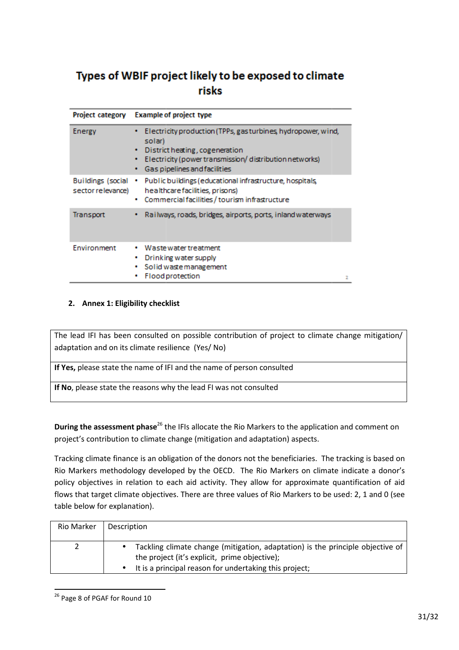# Types of WBIF project likely to be exposed to climate risks

|                                               | Project category Example of project type                                                                                                                                                                       |  |
|-----------------------------------------------|----------------------------------------------------------------------------------------------------------------------------------------------------------------------------------------------------------------|--|
| <b>Energy</b>                                 | Electricity production (TPPs, gas turbines, hydropower, wind,<br>solar)<br>District heating, cogeneration<br>۰.<br>Electricity (power transmission/distribution networks)<br>٠<br>Gas pipelines and facilities |  |
| <b>Buildings (social</b><br>sector relevance) | Public buildings (educational infrastructure, hospitals,<br>٠<br>healthcare facilities, prisons)<br>Commercial facilities / tourism infrastructure<br>٠                                                        |  |
| Transport                                     | Railways, roads, bridges, airports, ports, inland waterways                                                                                                                                                    |  |
| Environment                                   | Waste water treatment<br>Drinking water supply<br>٠<br>Solid waste management<br><b>Flood protection</b>                                                                                                       |  |

### **2. Annex 1: Eligibility checklist**

The lead IFI has been consulted on possible contribution of project to climate change mitigation/ adaptation and on its climate resilience (Yes/ No) Ited on possible contribution of provided in the resilience (Yes/No)<br>of IFI and the name of person consulted<br>is why the lead FI was not consulted

**If Yes,** please state the name of IFI and the name of person consulted

**If No**, please state the reasons why the lead FI was not consulted

**During the assessment phase**<sup>26</sup> the IFIs allocate the Rio Markers to the application and comment on project's contribution to climate change (mitigation and adaptation) aspects.

Tracking climate finance is an obligation of the donors not the beneficiaries. The tracking is based on Rio Markers methodology developed by the OECD. The Rio Markers on climate indicate a donor's policy objectives in relation to each aid activity. They allow for approximate quantification of aid table below for explanation).

| flows that target climate objectives. There are three values of Rio Markers to be used: 2, 1 and 0 (see |                                                                                             |  |  |  |
|---------------------------------------------------------------------------------------------------------|---------------------------------------------------------------------------------------------|--|--|--|
| table below for explanation).                                                                           |                                                                                             |  |  |  |
|                                                                                                         |                                                                                             |  |  |  |
| Rio Marker                                                                                              | Description                                                                                 |  |  |  |
|                                                                                                         |                                                                                             |  |  |  |
|                                                                                                         | Tackling climate change (mitigation, adaptation) is the principle objective of<br>$\bullet$ |  |  |  |
|                                                                                                         | the project (it's explicit, prime objective);                                               |  |  |  |
|                                                                                                         | It is a principal reason for undertaking this project;<br>$\bullet$                         |  |  |  |
|                                                                                                         |                                                                                             |  |  |  |

<sup>&</sup>lt;sup>26</sup> Page 8 of PGAF for Round 10

 $\overline{a}$ 

 $\overline{a}$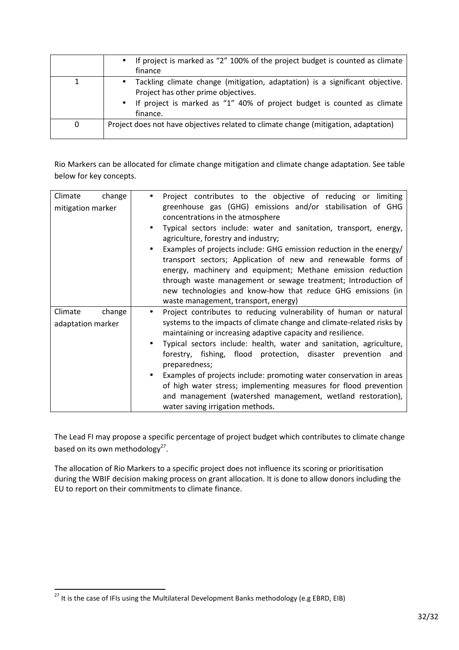|   | • If project is marked as "2" 100% of the project budget is counted as climate<br>finance                                                                                                                                 |
|---|---------------------------------------------------------------------------------------------------------------------------------------------------------------------------------------------------------------------------|
|   | Tackling climate change (mitigation, adaptation) is a significant objective.<br>$\bullet$<br>Project has other prime objectives.<br>• If project is marked as "1" 40% of project budget is counted as climate<br>finance. |
| 0 | Project does not have objectives related to climate change (mitigation, adaptation)                                                                                                                                       |

Rio Markers can be allocated for climate change mitigation and climate change adaptation. See table below for key concepts.

| Climate<br>mitigation marker | change | Project contributes to the objective of reducing or limiting<br>greenhouse gas (GHG) emissions and/or stabilisation of GHG<br>concentrations in the atmosphere<br>Typical sectors include: water and sanitation, transport, energy,<br>agriculture, forestry and industry;<br>Examples of projects include: GHG emission reduction in the energy/<br>transport sectors; Application of new and renewable forms of<br>energy, machinery and equipment; Methane emission reduction<br>through waste management or sewage treatment; Introduction of                                                                  |
|------------------------------|--------|--------------------------------------------------------------------------------------------------------------------------------------------------------------------------------------------------------------------------------------------------------------------------------------------------------------------------------------------------------------------------------------------------------------------------------------------------------------------------------------------------------------------------------------------------------------------------------------------------------------------|
|                              |        | new technologies and know-how that reduce GHG emissions (in<br>waste management, transport, energy)                                                                                                                                                                                                                                                                                                                                                                                                                                                                                                                |
| Climate<br>adaptation marker | change | Project contributes to reducing vulnerability of human or natural<br>systems to the impacts of climate change and climate-related risks by<br>maintaining or increasing adaptive capacity and resilience.<br>Typical sectors include: health, water and sanitation, agriculture,<br>forestry, fishing, flood protection, disaster<br>prevention and<br>preparedness;<br>Examples of projects include: promoting water conservation in areas<br>of high water stress; implementing measures for flood prevention<br>and management (watershed management, wetland restoration),<br>water saving irrigation methods. |

The Lead FI may propose a specific percentage of project budget which contributes to climate change based on its own methodology<sup>27</sup>.

The allocation of Rio Markers to a specific project does not influence its scoring or prioritisation during the WBIF decision making process on grant allocation. It is done to allow donors including the EU to report on their commitments to climate finance.

 $\overline{a}$ 

 $^{27}$  It is the case of IFIs using the Multilateral Development Banks methodology (e.g EBRD, EIB)